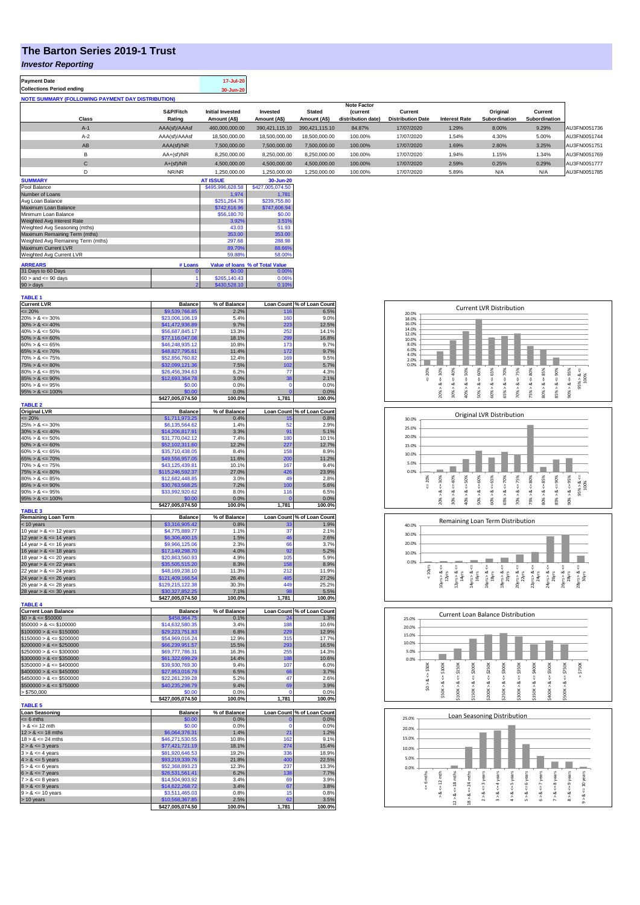## **The Barton Series 2019-1 Trust**

## *Investor Reporting*

| <b>Payment Date</b><br><b>Collections Period ending</b>  |                     | 17-Jul-20<br>30-Jun-20                  |                          |                               |                                                            |                                     |                      |                           |                          |              |
|----------------------------------------------------------|---------------------|-----------------------------------------|--------------------------|-------------------------------|------------------------------------------------------------|-------------------------------------|----------------------|---------------------------|--------------------------|--------------|
| <b>NOTE SUMMARY (FOLLOWING PAYMENT DAY DISTRIBUTION)</b> |                     |                                         |                          |                               |                                                            |                                     |                      |                           |                          |              |
| <b>Class</b>                                             | S&P/Fitch<br>Rating | <b>Initial Invested</b><br>Amount (A\$) | Invested<br>Amount (A\$) | <b>Stated</b><br>Amount (A\$) | <b>Note Factor</b><br><b>Current</b><br>distribution date) | Current<br><b>Distribution Date</b> | <b>Interest Rate</b> | Original<br>Subordination | Current<br>Subordination |              |
| $A-1$                                                    | AAA(sf)/AAAsf       | 460.000.000.00                          | 390.421.115.10           | 390.421.115.10                | 84.87%                                                     | 17/07/2020                          | 1.29%                | 8.00%                     | 9.29%                    | AU3FN0051736 |
| $A-2$                                                    | AAA(sf)/AAAsf       | 18,500,000,00                           | 18,500,000.00            | 18,500,000.00                 | 100.00%                                                    | 17/07/2020                          | 1.54%                | 4.30%                     | 5.00%                    | AU3FN0051744 |
| AB                                                       | AAA(sf)/NR          | 7.500.000.00                            | 7.500.000.00             | 7.500.000.00                  | 100.00%                                                    | 17/07/2020                          | 1.69%                | 2.80%                     | 3.25%                    | AU3FN0051751 |
| в                                                        | $AA+(sf)/NR$        | 8.250.000.00                            | 8.250.000.00             | 8.250.000.00                  | 100.00%                                                    | 17/07/2020                          | 1.94%                | 1.15%                     | 1.34%                    | AU3FN0051769 |
| $\mathbf{C}$                                             | $A+(sf)/NR$         | 4.500.000.00                            | 4.500.000.00             | 4.500.000.00                  | 100.00%                                                    | 17/07/2020                          | 2.59%                | 0.25%                     | 0.29%                    | AU3FN0051777 |
| D                                                        | NR/NR               | 1.250.000.00                            | 1,250,000.00             | 1.250.000.00                  | 100.00%                                                    | 17/07/2020                          | 5.89%                | N/A                       | N/A                      | AU3FN0051785 |
| <b>CURRENTAL</b>                                         |                     | AT IDDUT                                | $20 - 1$                 |                               |                                                            |                                     |                      |                           |                          |              |

| <b>SUMMARY</b>                                               |                  | <b>AT ISSUE</b>  | 30-Jun-20 |  |  |
|--------------------------------------------------------------|------------------|------------------|-----------|--|--|
| Pool Balance                                                 | \$495,996,628.58 | \$427,005,074.50 |           |  |  |
| Number of Loans                                              |                  | 1.974            | 1.781     |  |  |
| Avg Loan Balance                                             | \$251.264.76     | \$239,755.80     |           |  |  |
| Maximum Loan Balance                                         | \$742,616.96     | \$747,606.94     |           |  |  |
| Minimum Loan Balance                                         | \$56,180.70      | \$0.00           |           |  |  |
| Weighted Avg Interest Rate                                   | 3.92%            | 3.51%            |           |  |  |
| Weighted Avg Seasoning (mths)                                | 43.03            | 51.93            |           |  |  |
| Maximum Remaining Term (mths)                                | 353.00           | 353.00           |           |  |  |
| Weighted Avg Remaining Term (mths)                           | 297.68           | 288.98           |           |  |  |
| Maximum Current LVR                                          | 89.70%           | 88.66%           |           |  |  |
| Weighted Avg Current LVR                                     |                  | 59.88%           | 58.00%    |  |  |
| <b>ARREARS</b><br>Value of Ioans % of Total Value<br># Loans |                  |                  |           |  |  |
| 31 Days to 60 Days                                           | 0                | \$0.00           | 0.00%     |  |  |
| $60 >$ and $\leq 90$ days                                    |                  | \$265,140.43     | 0.06%     |  |  |
| $90 >$ days                                                  | 2                | \$430,528.10     | 0.10%     |  |  |

| TABLE 1                     |                                     |                |                   |                            |
|-----------------------------|-------------------------------------|----------------|-------------------|----------------------------|
| <b>Current LVR</b>          | <b>Balance</b>                      | % of Balance   |                   | Loan Count % of Loan Count |
| $= 20%$                     | \$9,539,766.85                      | 2.2%           | 116               | 6.5%                       |
| $20\% > 8 \le 30\%$         | \$23,006,106.19                     | 5.4%           | 160               | 9.0%                       |
| $30\% > 8 \le 40\%$         | \$41,472,936.89                     | 9.7%           | 223               | 12.5%                      |
| $40\% > 8 \le 50\%$         | \$56,687,845.17                     | 13.3%          | 252               | 14.1%                      |
|                             |                                     |                | 299               |                            |
| $50\% > 8 \le 60\%$         | \$77,116,047.08                     | 18.1%          |                   | 16.8%                      |
| $60\% > 8 \le 65\%$         | \$46,248,935.12                     | 10.8%          | 173               | 9.7%                       |
| $65\% > 8 \le 70\%$         | \$48,827,795.61                     | 11.4%          | 172               | 9.7%                       |
| $70\% > 8 \le 75\%$         | \$52,856,760.82                     | 12.4%          | 169               | 9.5%                       |
| $75\% > 8 \le 80\%$         | \$32,099,121.36                     | 7.5%           | 102               | 5.7%                       |
| $80\% > 8 \le 85\%$         | \$26,456,394.63                     | 6.2%           | 77                | 4.3%                       |
| $85\% > 8 \le 90\%$         | \$12,693,364.78                     | 3.0%           | 38                | 2.1%                       |
|                             |                                     |                | $\overline{0}$    |                            |
| $90\% > 8 \le 95\%$         | \$0.00                              | 0.0%           |                   | 0.0%                       |
| $95\% > 8 \le 100\%$        | \$0.00                              | 0.0%           | $\overline{0}$    | 0.0%                       |
|                             | \$427,005,074.50                    | 100.0%         | 1,781             | 100.0%                     |
| <b>TABLE 2</b>              |                                     |                |                   |                            |
| <b>Original LVR</b>         | <b>Balance</b>                      | % of Balance   |                   | Loan Count % of Loan Count |
| $= 20%$                     | \$1,711,973.25                      | 0.4%           | 15                | 0.8%                       |
| $25\% > 8 \le 30\%$         | \$6,135,564.62                      | 1.4%           | 52                | 2.9%                       |
|                             |                                     |                | 91                | 5.1%                       |
| $30\% > 8 \le 40\%$         | \$14,206,817.91                     | 3.3%           |                   |                            |
| $40\% > 8 \le 50\%$         | \$31,770,042.12                     | 7.4%           | 180               | 10.1%                      |
| $50\% > 8 \le 60\%$         | \$52,102,311.60                     | 12.2%          | 227               | 12.7%                      |
| $60\% > 8 \le 65\%$         | \$35,710,438.05                     | 8.4%           | 158               | 8.9%                       |
| $65\% > 8 \le 70\%$         | \$49,556,957.05                     | 11.6%          | 200               | 11.2%                      |
| $70\% > 8 \le 75\%$         | \$43,125,439.81                     | 10.1%          | 167               | 9.4%                       |
| $75\% > 8 \le 80\%$         | \$115,246,592.37                    | 27.0%          | 426               | 23.9%                      |
|                             |                                     |                |                   |                            |
| $80\% > 8 \le 85\%$         | \$12,682,448.85                     | 3.0%           | 49                | 2.8%                       |
| $85\% > 8 \le 90\%$         | \$30,763,568.25                     | 7.2%           | 100               | 5.6%                       |
| $90\% > 8 \le 95\%$         | \$33,992,920.62                     | 8.0%           | 116               | 6.5%                       |
| $95\% > 8 \le 100\%$        | \$0.00                              | 0.0%           | $\mathbf 0$       | 0.0%                       |
|                             | \$427,005,074.50                    | 100.0%         | 1,781             | 100.0%                     |
| <b>TABLE 3</b>              |                                     |                |                   |                            |
| <b>Remaining Loan Term</b>  | <b>Balance</b>                      | % of Balance   | <b>Loan Count</b> | % of Loan Count            |
| < 10 years                  | \$3,316,905.42                      | 0.8%           | 33                | 1.9%                       |
| 10 year $> 8 \le 12$ years  | \$4,775,889.77                      | 1.1%           | 37                | 2.1%                       |
|                             |                                     |                |                   |                            |
| 12 year $> 8 \le 14$ years  | \$6,306,400.15                      | 1.5%           | 46                | 2.6%                       |
| 14 year $> 8 \le 16$ years  | \$9,966,125.06                      | 2.3%           | 66                | 3.7%                       |
| 16 year $> 8 \le 18$ years  | \$17,149,298.70                     | 4.0%           | 92                | 5.2%                       |
| 18 year $> 8 \le 20$ years  | \$20,863,560.93                     | 4.9%           | 105               | 5.9%                       |
| 20 year $> 8 < 22$ years    | \$35,505,515.20                     | 8.3%           | 158               | 8.9%                       |
| 22 year $> 8 \le 24$ years  | \$48,169,238.10                     | 11.3%          | 212               | 11.9%                      |
|                             |                                     |                |                   |                            |
| 24 year $> 8 \le 26$ years  | \$121,409,166.54                    | 28.4%          | 485               | 27.2%                      |
| 26 year $> 8 \le 28$ years  | \$129,215,122.38                    | 30.3%          | 449               | 25.2%                      |
| 28 year $> 8 \le 30$ years  | \$30,327,852.25                     | 7.1%           | 98                | 5.5%                       |
|                             | \$427,005,074.50                    | 100.0%         | 1,781             | 100.0%                     |
| <b>TABLE 4</b>              |                                     |                |                   |                            |
| <b>Current Loan Balance</b> | <b>Balance</b>                      | % of Balance   |                   | Loan Count % of Loan Count |
| $$0 > 8 \le $50000$         | \$458,964.75                        | 0.1%           | 24                | 1.3%                       |
|                             | \$14,632,580.35                     | 3.4%           | 188               | 10.6%                      |
| $$50000 > 8 \le $100000$    |                                     |                |                   |                            |
| $$100000 > 8 \le $150000$   | \$29.223.751.83                     | 6.8%           | 229               | 12.9%                      |
| $$150000 > 8 \le $200000$   | \$54,969,016.24                     | 12.9%          | 315               | 17.7%                      |
| $$200000 > 8 \le $250000$   | \$66,239,951.57                     | 15.5%          | 293               | 16.5%                      |
| $$250000 > 8 \le $300000$   | \$69,777,786.31                     | 16.3%          | 255               | 14.3%                      |
| $$300000 > 8 \leq $350000$  | \$61,322,699.29                     | 14.4%          | 188               | 10.6%                      |
| $$350000 > 8 \le $400000$   | \$39,930,769.30                     | 9.4%           | 107               | 6.0%                       |
|                             |                                     |                |                   |                            |
| $$400000 > 8 \le $450000$   | \$27,953,016.79                     | 6.5%           | 66                | 3.7%                       |
| $$450000 > 8 \le $500000$   | \$22,261,239.28                     | 5.2%           | 47                | 2.6%                       |
| $$500000 > 8 \le $750000$   | \$40,235,298.79                     | 9.4%           | 69                | 3.9%                       |
| > \$750,000                 | \$0.00                              | 0.0%           |                   | 0.0%                       |
|                             | \$427,005,074.50                    | 100.0%         | 1,781             | 100.0%                     |
| <b>TABLE 5</b>              |                                     |                |                   |                            |
| <b>Loan Seasoning</b>       | <b>Balance</b>                      |                |                   | Loan Count % of Loan Count |
|                             |                                     | % of Balance   |                   |                            |
| $= 6$ mths                  | \$0.00                              | 0.0%           | O                 | 0.0%                       |
| $> 8 \le 12$ mth            | \$0.00                              | 0.0%           | C                 | 0.0%                       |
| $12 > 8 \le 18$ mths        | \$6,064,376.31                      | 1.4%           | 21                | 1.2%                       |
| $18 > 8 \le 24$ mths        | \$46,271,530.55                     | 10.8%          | 162               | 9.1%                       |
| $2 > 8 \le 3$ years         | \$77,421,721.19                     | 18.1%          | 274               | 15.4%                      |
| $3 > 8 \leq 4$ years        | \$81,920,646.53                     | 19.2%          | 336               | 18.9%                      |
| $4 > 8 \le 5$ years         | \$93,219,339.76                     | 21.8%          | 400               | 22.5%                      |
|                             |                                     |                |                   |                            |
|                             |                                     |                |                   | 13.3%                      |
| $5 > 8 \le 6$ years         | \$52,368,893.23                     | 12.3%          | 237               |                            |
| $6 > 8 \le 7$ years         | \$26,531,561.41                     | 6.2%           | 138               | 7.7%                       |
| $7 > 8 \le 8$ years         | \$14,504,903.92                     | 3.4%           | 69                | 3.9%                       |
|                             |                                     | 3.4%           | 67                | 3.8%                       |
| $8 > 8 \le 9$ years         | \$14,622,268.72                     |                | 15                |                            |
| $9 > 8 \le 10$ years        | \$3,511,465.03                      | 0.8%           |                   | 0.8%                       |
| > 10 years                  | \$10,568,367.85<br>\$427.005.074.50 | 2.5%<br>100.0% | 62<br>1.781       | 3.5%<br>100.0%             |

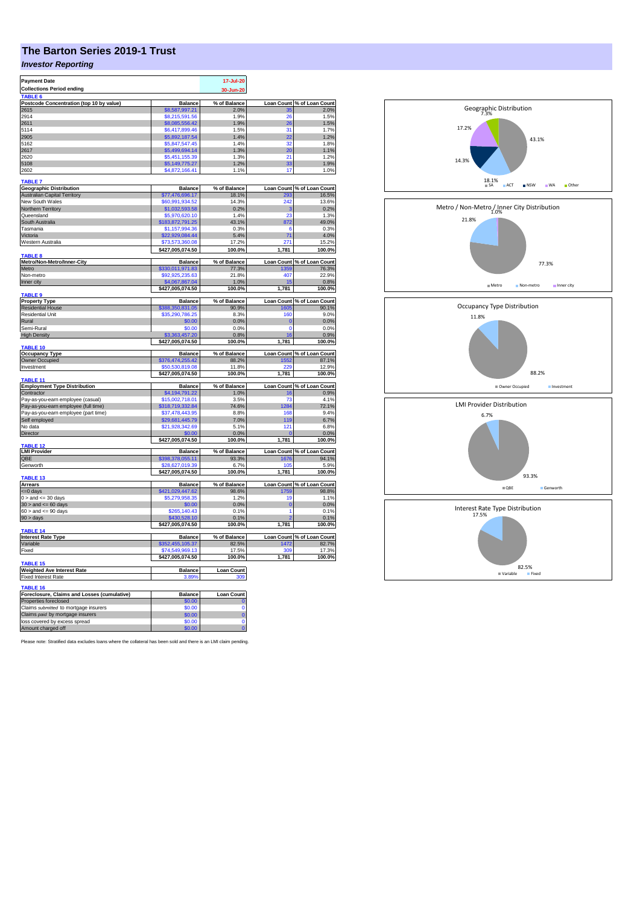## **The Barton Series 2019-1 Trust**

## *Investor Reporting*

| <b>Payment Date</b>                                 |                                     | 17-Jul-20             |             |                                     |
|-----------------------------------------------------|-------------------------------------|-----------------------|-------------|-------------------------------------|
| <b>Collections Period ending</b>                    |                                     | 30-Jun-20             |             |                                     |
| <b>TABLE</b>                                        |                                     |                       |             |                                     |
| Postcode Concentration (top 10 by value)            | <b>Balance</b>                      | % of Balance          |             | Loan Count % of Loan Count          |
| 2615                                                | \$8,587,997.21                      | 2.0%                  |             | 2.0%                                |
| 2914                                                | \$8,215,591.56                      | 1.9%                  | 26          | 1.5%                                |
| 2611                                                | \$8,085,556.42                      | 1.9%                  | 26          | 1.5%                                |
| 5114                                                | \$6,417,899.46                      | 1.5%                  | 31          | 1.7%                                |
| 2905                                                | \$5,892,187.54                      | 1.4%                  | 22          | 1.2%                                |
| 5162                                                | \$5,847,547.45                      | 1.4%                  | 32          | 1.8%                                |
| 2617                                                | \$5,499,694.14                      | 1.3%                  | 20          | 1.1%                                |
| 2620                                                | \$5,451,155.39                      | 1.3%                  | 21          | 1.2%                                |
| 5108                                                | \$5,149,775.27                      | 1.2%                  | 33          | 1.9%                                |
| 2602                                                | \$4,872,166.41                      | 1.1%                  | 17          | 1.0%                                |
|                                                     |                                     |                       |             |                                     |
| <b>TABLE 7</b>                                      |                                     |                       |             |                                     |
| <b>Geographic Distribution</b>                      | <b>Balance</b>                      | % of Balance          |             | Loan Count % of Loan Count          |
| <b>Australian Capital Territory</b>                 | \$77,476,696.17                     | 18.1%                 | 293         | 16.5%                               |
| New South Wales                                     | \$60,991,934.52                     | 14.3%                 | 242         | 13.6%                               |
| Northern Territory                                  | \$1,032,593.58                      | 0.2%                  | э           | 0.2%                                |
| Queensland                                          | \$5,970,620.10                      | 1.4%                  | 23          | 1.3%                                |
| South Australia                                     | \$183,872,791.25                    | 43.1%                 | 872         | 49.0%                               |
| Tasmania                                            | \$1,157,994.36                      | 0.3%                  | 6           | 0.3%                                |
| Victoria                                            | \$22,929,084.44                     | 5.4%                  | 71          | 4.0%                                |
| Western Australia                                   | \$73.573.360.08                     | 17.2%                 | 271         | 15.2%                               |
|                                                     |                                     |                       |             |                                     |
| <b>TABLE 8</b>                                      | \$427,005,074.50                    | 100.0%                | 1,781       | 100.0%                              |
| Metro/Non-Metro/Inner-City                          | <b>Balance</b>                      | % of Balance          |             | Loan Count % of Loan Count          |
| Metro                                               | \$330,011,971.83                    | 77.3%                 | 35          | 76.3%                               |
| Non-metro                                           | \$92,925,235.63                     | 21.8%                 | 407         | 22.9%                               |
| Inner city                                          |                                     |                       | 15          | 0.8%                                |
|                                                     | \$4,067,867.04<br>\$427,005,074.50  | 1.0%<br>100.0%        | 1,781       | 100.0%                              |
| TABLE <sub>9</sub>                                  |                                     |                       |             |                                     |
| <b>Property Type</b>                                | <b>Balance</b>                      | % of Balance          |             | Loan Count % of Loan Count          |
| <b>Residential House</b>                            | \$388,350,831.05                    | 90.9%                 | 1605        | 90.1%                               |
| <b>Residential Unit</b>                             | \$35,290,786.25                     | 8.3%                  | 160         | 9.0%                                |
| Rural                                               | \$0.00                              | 0.0%                  | C           | 0.0%                                |
| Semi-Rural                                          | \$0.00                              | 0.0%                  | $\Omega$    | 0.0%                                |
| <b>High Density</b>                                 | \$3,363,457,20                      |                       | 16          |                                     |
|                                                     |                                     | 0.8%                  |             | 0.9%<br>100.0%                      |
| TABLE 10                                            | \$427,005,074.50                    | 100.0%                | 1,781       |                                     |
| <b>Occupancy Type</b>                               | <b>Balance</b>                      | % of Balance          |             | Loan Count % of Loan Count          |
| Owner Occupied                                      | \$376,474,255.42                    | 88.2%                 | 1552        | 87.1%                               |
| Investment                                          | \$50.530.819.08                     | 11.8%                 |             | 12.9%                               |
|                                                     | \$427,005,074.50                    | 100.0%                | 1,781       | 100.0%                              |
| TABLE 11                                            |                                     |                       |             |                                     |
| <b>Employment Type Distribution</b>                 | <b>Balance</b>                      | % of Balance          |             | Loan Count % of Loan Count          |
| Contractor                                          | \$4,194,791.22                      | 1.0%                  | 16          | 0.9%                                |
| Pay-as-you-earn employee (casual)                   | \$15,002,718.01                     | 3.5%                  | 73          | 4.1%                                |
|                                                     | \$318,719,332.84                    | 74.6%                 | 1284        | 72.1%                               |
| Pay-as-you-earn employee (full time)                |                                     |                       |             | 9.4%                                |
| Pay-as-you-earn employee (part time)                | \$37,478,443.95                     | 8.8%                  | 168         |                                     |
| Self employed                                       | \$29,681,445.79                     | 7.0%                  | 119         | 6.7%                                |
| No data                                             | \$21,928,342.69                     | 5.1%                  | 121         | 6.8%                                |
| Director                                            |                                     | 0.0%                  |             | 0.0%                                |
|                                                     | \$427,005,074.50                    | 100.0%                | 1,781       | 100.0%                              |
| <b>ABLE 12</b><br><b>LMI Provider</b>               |                                     |                       |             | Loan Count % of Loan Count          |
| QBE                                                 | <b>Balance</b><br>\$398,378,055.11  | % of Balance<br>93.3% | 1676        | 94.1%                               |
| Genworth                                            |                                     | 6.7%                  | 105         |                                     |
|                                                     | \$28,627,019.39<br>\$427.005.074.50 | 100.0%                | 1,781       | 5.9%<br>100.0%                      |
| <b>TABLE 13</b>                                     |                                     |                       |             |                                     |
| <b>Arrears</b>                                      | <b>Balance</b>                      | % of Balance          |             | Loan Count % of Loan Count          |
| <= 0 days                                           | \$421,029,447.62                    | 98.6%                 | 1759        | 98.8%                               |
| $0 >$ and $\leq$ 30 days                            | \$5,279,958.35                      | 1.2%                  | 19          | 1.1%                                |
|                                                     | \$0.00                              | 0.0%                  | $\mathbf 0$ | 0.0%                                |
| $30 >$ and $\leq 60$ days                           | \$265,140.43                        | 0.1%                  | 1           | 0.1%                                |
| $60 >$ and $\leq 90$ days                           | 430.528.10                          | 0.1%                  |             | 0.1%                                |
| $90 > \text{days}$                                  |                                     |                       |             |                                     |
| TABLE 14                                            | \$427,005,074.50                    | 100.0%                | 1,781       | 100.0%                              |
|                                                     | <b>Balance</b>                      | % of Balance          |             |                                     |
| <b>Interest Rate Type</b>                           |                                     | 82.5%                 | 1472        | Loan Count % of Loan Count<br>82.7% |
| Variable                                            | \$352,455,105.37                    |                       |             |                                     |
| Fixed                                               | \$74,549,969.13                     | 17.5%                 | 309         | 17.3%                               |
|                                                     | \$427,005,074.50                    | 100.0%                | 1,781       | 100.0%                              |
| <b>TABLE 15</b>                                     |                                     |                       |             |                                     |
| <b>Weighted Ave Interest Rate</b>                   | <b>Balance</b>                      | <b>Loan Count</b>     |             |                                     |
| Fixed Interest Rate                                 | 3.89%                               | 309                   |             |                                     |
| TABLE 16                                            |                                     |                       |             |                                     |
| Foreclosure, Claims and Losses (cumulative)         | <b>Balance</b>                      | <b>Loan Count</b>     |             |                                     |
| Properties foreclosed                               | \$0.00                              |                       |             |                                     |
| Claims submitted to mortgage insurers               | \$0.00                              | $\Omega$              |             |                                     |
| Claims paid by mortgage insurers                    |                                     |                       |             |                                     |
|                                                     | \$0.00<br>\$0.00                    | $\bf{0}$<br>$\Omega$  |             |                                     |
| loss covered by excess spread<br>Amount charged off | 60.00                               |                       |             |                                     |
|                                                     |                                     |                       |             |                                     |

Please note: Stratified data excludes loans where the collateral has been sold and there is an LMI claim pending.